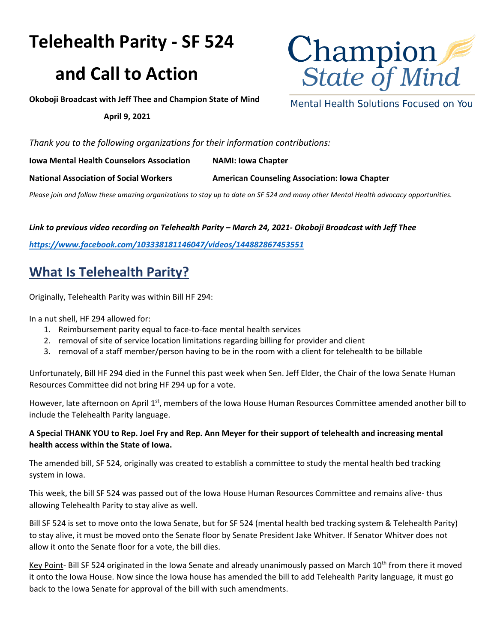# **Telehealth Parity - SF 524**

## **and Call to Action**



Mental Health Solutions Focused on You

**Okoboji Broadcast with Jeff Thee and Champion State of Mind** 

#### **April 9, 2021**

*Thank you to the following organizations for their information contributions:*

**Iowa Mental Health Counselors Association NAMI: Iowa Chapter**

National Association of Social Workers **American Counseling Association: Iowa Chapter** 

*Please join and follow these amazing organizations to stay up to date on SF 524 and many other Mental Health advocacy opportunities.* 

## *Link to previous video recording on Telehealth Parity – March 24, 2021- Okoboji Broadcast with Jeff Thee*

*<https://www.facebook.com/103338181146047/videos/144882867453551>*

## **What Is Telehealth Parity?**

Originally, Telehealth Parity was within Bill HF 294:

In a nut shell, HF 294 allowed for:

- 1. Reimbursement parity equal to face-to-face mental health services
- 2. removal of site of service location limitations regarding billing for provider and client
- 3. removal of a staff member/person having to be in the room with a client for telehealth to be billable

Unfortunately, Bill HF 294 died in the Funnel this past week when Sen. Jeff Elder, the Chair of the Iowa Senate Human Resources Committee did not bring HF 294 up for a vote.

However, late afternoon on April 1<sup>st</sup>, members of the Iowa House Human Resources Committee amended another bill to include the Telehealth Parity language.

## **A Special THANK YOU t[o Rep. Joel Fry](mailto:joel.fry@legis.iowa.gov) and [Rep. Ann Meyer](mailto:Ann.Meyer@legis.iowa.gov) for their support of telehealth and increasing mental health access within the State of Iowa.**

The amended bill, SF 524, originally was created to establish a committee to study the mental health bed tracking system in Iowa.

This week, the bill SF 524 was passed out of the Iowa House Human Resources Committee and remains alive- thus allowing Telehealth Parity to stay alive as well.

Bill SF 524 is set to move onto the Iowa Senate, but for SF 524 (mental health bed tracking system & Telehealth Parity) to stay alive, it must be moved onto the Senate floor by Senate President Jake Whitver. If Senator Whitver does not allow it onto the Senate floor for a vote, the bill dies.

Key Point- Bill SF 524 originated in the Iowa Senate and already unanimously passed on March 10<sup>th</sup> from there it moved it onto the Iowa House. Now since the Iowa house has amended the bill to add Telehealth Parity language, it must go back to the Iowa Senate for approval of the bill with such amendments.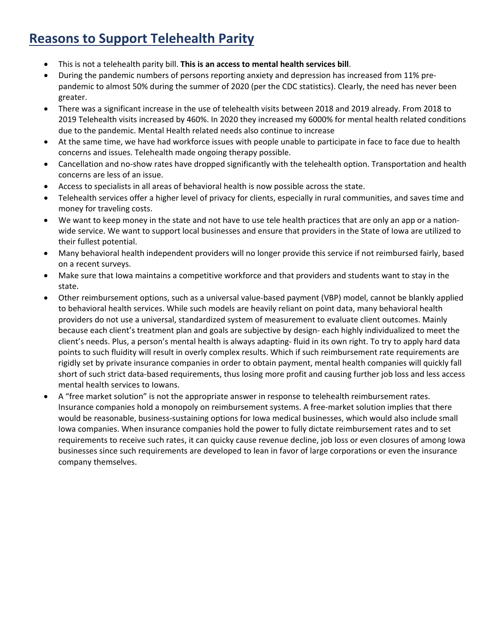## **Reasons to Support Telehealth Parity**

- This is not a telehealth parity bill. **This is an access to mental health services bill**.
- During the pandemic numbers of persons reporting anxiety and depression has increased from 11% prepandemic to almost 50% during the summer of 2020 (per the CDC statistics). Clearly, the need has never been greater.
- There was a significant increase in the use of telehealth visits between 2018 and 2019 already. From 2018 to 2019 Telehealth visits increased by 460%. In 2020 they increased my 6000% for mental health related conditions due to the pandemic. Mental Health related needs also continue to increase
- At the same time, we have had workforce issues with people unable to participate in face to face due to health concerns and issues. Telehealth made ongoing therapy possible.
- Cancellation and no-show rates have dropped significantly with the telehealth option. Transportation and health concerns are less of an issue.
- Access to specialists in all areas of behavioral health is now possible across the state.
- Telehealth services offer a higher level of privacy for clients, especially in rural communities, and saves time and money for traveling costs.
- We want to keep money in the state and not have to use tele health practices that are only an app or a nationwide service. We want to support local businesses and ensure that providers in the State of Iowa are utilized to their fullest potential.
- Many behavioral health independent providers will no longer provide this service if not reimbursed fairly, based on a recent surveys.
- Make sure that Iowa maintains a competitive workforce and that providers and students want to stay in the state.
- Other reimbursement options, such as a universal value-based payment (VBP) model, cannot be blankly applied to behavioral health services. While such models are heavily reliant on point data, many behavioral health providers do not use a universal, standardized system of measurement to evaluate client outcomes. Mainly because each client's treatment plan and goals are subjective by design- each highly individualized to meet the client's needs. Plus, a person's mental health is always adapting- fluid in its own right. To try to apply hard data points to such fluidity will result in overly complex results. Which if such reimbursement rate requirements are rigidly set by private insurance companies in order to obtain payment, mental health companies will quickly fall short of such strict data-based requirements, thus losing more profit and causing further job loss and less access mental health services to Iowans.
- A "free market solution" is not the appropriate answer in response to telehealth reimbursement rates. Insurance companies hold a monopoly on reimbursement systems. A free-market solution implies that there would be reasonable, business-sustaining options for Iowa medical businesses, which would also include small Iowa companies. When insurance companies hold the power to fully dictate reimbursement rates and to set requirements to receive such rates, it can quicky cause revenue decline, job loss or even closures of among Iowa businesses since such requirements are developed to lean in favor of large corporations or even the insurance company themselves.